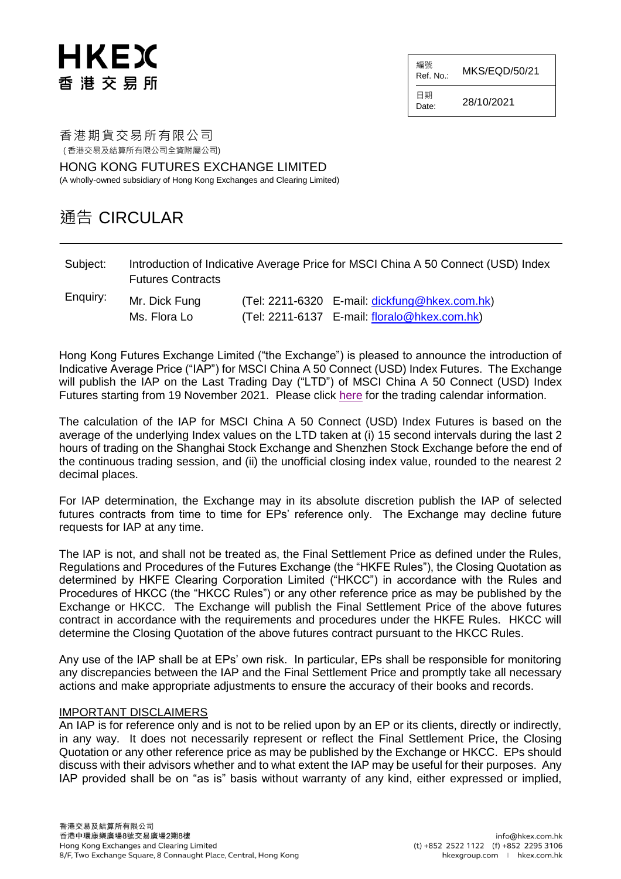# HKEX 香港交易所

編號  $R$ ef. No.: MKS/EQD/50/21

日期  $D_{\text{Date}}$  28/10/2021

香港期貨交易所有限公司 ( 香港交易及結算所有限公司全資附屬公司)

HONG KONG FUTURES EXCHANGE LIMITED (A wholly-owned subsidiary of Hong Kong Exchanges and Clearing Limited)

### 通告 CIRCULAR

| Subject: | Introduction of Indicative Average Price for MSCI China A 50 Connect (USD) Index |
|----------|----------------------------------------------------------------------------------|
|          | <b>Futures Contracts</b>                                                         |

| Enquiry: | Mr. Dick Fung | (Tel: 2211-6320 E-mail: dickfung@hkex.com.hk) |
|----------|---------------|-----------------------------------------------|
|          | Ms. Flora Lo  | (Tel: 2211-6137 E-mail: floralo@hkex.com.hk)  |

Hong Kong Futures Exchange Limited ("the Exchange") is pleased to announce the introduction of Indicative Average Price ("IAP") for MSCI China A 50 Connect (USD) Index Futures. The Exchange will publish the IAP on the Last Trading Day ("LTD") of MSCI China A 50 Connect (USD) Index Futures starting from 19 November 2021. Please click [here](https://www.hkex.com.hk/Services/Trading/Derivatives/Overview/Trading-Calendar-and-Holiday-Schedule?sc_lang=en) for the trading calendar information.

The calculation of the IAP for MSCI China A 50 Connect (USD) Index Futures is based on the average of the underlying Index values on the LTD taken at (i) 15 second intervals during the last 2 hours of trading on the Shanghai Stock Exchange and Shenzhen Stock Exchange before the end of the continuous trading session, and (ii) the unofficial closing index value, rounded to the nearest 2 decimal places.

For IAP determination, the Exchange may in its absolute discretion publish the IAP of selected futures contracts from time to time for EPs' reference only. The Exchange may decline future requests for IAP at any time.

The IAP is not, and shall not be treated as, the Final Settlement Price as defined under the Rules, Regulations and Procedures of the Futures Exchange (the "HKFE Rules"), the Closing Quotation as determined by HKFE Clearing Corporation Limited ("HKCC") in accordance with the Rules and Procedures of HKCC (the "HKCC Rules") or any other reference price as may be published by the Exchange or HKCC. The Exchange will publish the Final Settlement Price of the above futures contract in accordance with the requirements and procedures under the HKFE Rules. HKCC will determine the Closing Quotation of the above futures contract pursuant to the HKCC Rules.

Any use of the IAP shall be at EPs' own risk. In particular, EPs shall be responsible for monitoring any discrepancies between the IAP and the Final Settlement Price and promptly take all necessary actions and make appropriate adjustments to ensure the accuracy of their books and records.

#### IMPORTANT DISCLAIMERS

An IAP is for reference only and is not to be relied upon by an EP or its clients, directly or indirectly, in any way. It does not necessarily represent or reflect the Final Settlement Price, the Closing Quotation or any other reference price as may be published by the Exchange or HKCC. EPs should discuss with their advisors whether and to what extent the IAP may be useful for their purposes. Any IAP provided shall be on "as is" basis without warranty of any kind, either expressed or implied,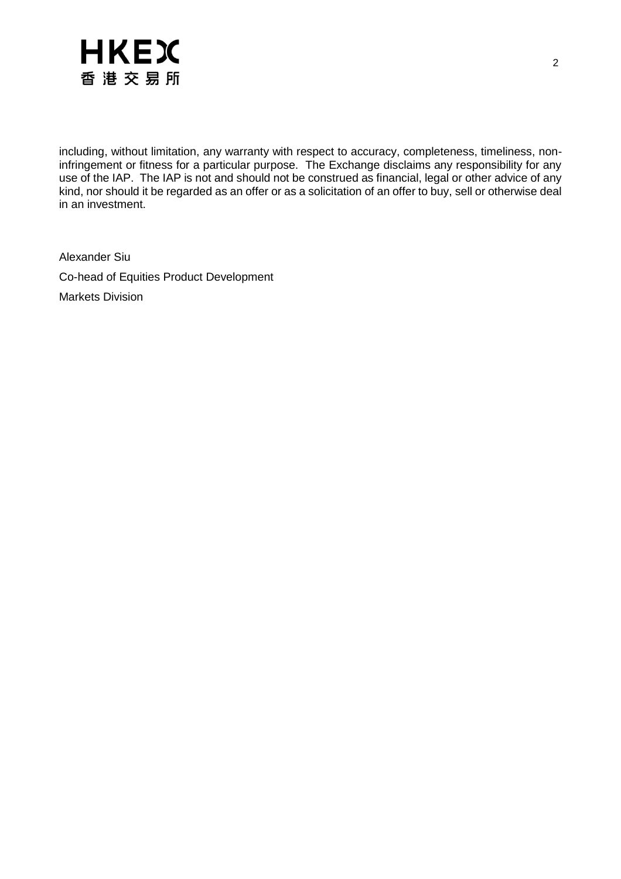

including, without limitation, any warranty with respect to accuracy, completeness, timeliness, noninfringement or fitness for a particular purpose. The Exchange disclaims any responsibility for any use of the IAP. The IAP is not and should not be construed as financial, legal or other advice of any kind, nor should it be regarded as an offer or as a solicitation of an offer to buy, sell or otherwise deal in an investment.

Alexander Siu Co-head of Equities Product Development Markets Division